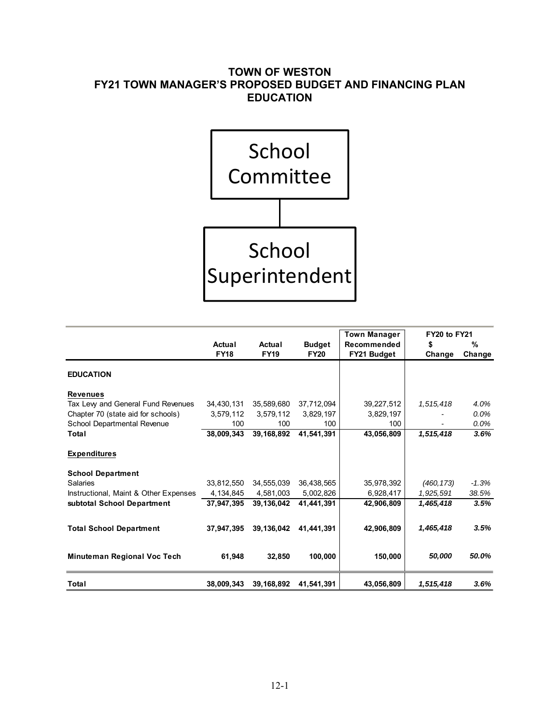# **TOWN OF WESTON FY21 TOWN MANAGER'S PROPOSED BUDGET AND FINANCING PLAN EDUCATION**



|                                       |             |             |               | <b>Town Manager</b> | <b>FY20 to FY21</b> |         |  |
|---------------------------------------|-------------|-------------|---------------|---------------------|---------------------|---------|--|
|                                       | Actual      | Actual      | <b>Budget</b> | Recommended         | \$                  | $\%$    |  |
|                                       | <b>FY18</b> | <b>FY19</b> | <b>FY20</b>   | FY21 Budget         | Change              | Change  |  |
| <b>EDUCATION</b>                      |             |             |               |                     |                     |         |  |
| <b>Revenues</b>                       |             |             |               |                     |                     |         |  |
| Tax Levy and General Fund Revenues    | 34,430,131  | 35,589,680  | 37,712,094    | 39,227,512          | 1,515,418           | 4.0%    |  |
| Chapter 70 (state aid for schools)    | 3,579,112   | 3,579,112   | 3,829,197     | 3,829,197           |                     | 0.0%    |  |
| School Departmental Revenue           | 100         | 100         | 100           | 100                 |                     | 0.0%    |  |
| Total                                 | 38,009,343  | 39,168,892  | 41,541,391    | 43,056,809          | 1,515,418           | 3.6%    |  |
| <b>Expenditures</b>                   |             |             |               |                     |                     |         |  |
| <b>School Department</b>              |             |             |               |                     |                     |         |  |
| Salaries                              | 33,812,550  | 34,555,039  | 36,438,565    | 35,978,392          | (460, 173)          | $-1.3%$ |  |
| Instructional, Maint & Other Expenses | 4, 134, 845 | 4,581,003   | 5,002,826     | 6,928,417           | 1,925,591           | 38.5%   |  |
| subtotal School Department            | 37,947,395  | 39.136.042  | 41,441,391    | 42,906,809          | 1,465,418           | 3.5%    |  |
| <b>Total School Department</b>        | 37,947,395  | 39,136,042  | 41.441.391    | 42,906,809          | 1,465,418           | 3.5%    |  |
| Minuteman Regional Voc Tech           | 61,948      | 32.850      | 100.000       | 150,000             | 50,000              | 50.0%   |  |
| Total                                 | 38,009,343  | 39,168,892  | 41,541,391    | 43,056,809          | 1,515,418           | 3.6%    |  |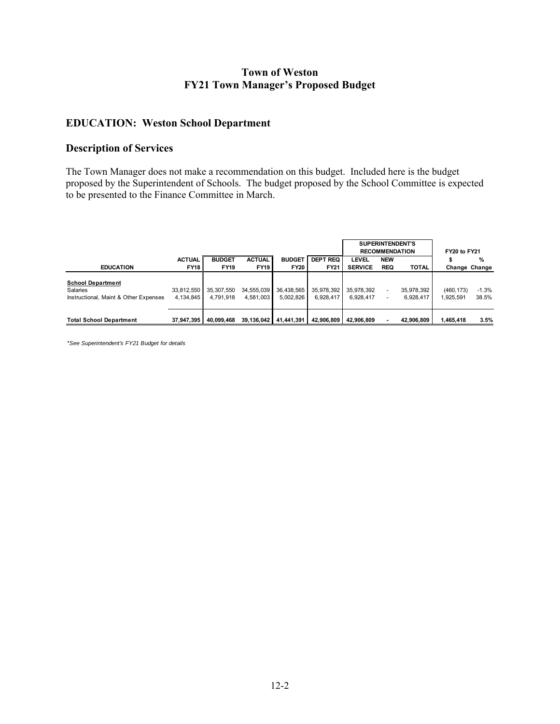### **Town of Weston FY21 Town Manager's Proposed Budget**

### **EDUCATION: Weston School Department**

#### **Description of Services**

The Town Manager does not make a recommendation on this budget. Included here is the budget proposed by the Superintendent of Schools. The budget proposed by the School Committee is expected to be presented to the Finance Committee in March.

|                                                                               |                         |                         |                         |                         |                         | <b>SUPERINTENDENT'S</b><br><b>RECOMMENDATION</b> |                          |                         | FY20 to FY21            |                  |  |
|-------------------------------------------------------------------------------|-------------------------|-------------------------|-------------------------|-------------------------|-------------------------|--------------------------------------------------|--------------------------|-------------------------|-------------------------|------------------|--|
|                                                                               | <b>ACTUAL</b>           | <b>BUDGET</b>           | <b>ACTUAL</b>           | <b>BUDGET</b>           | <b>DEPT REQ</b>         | <b>LEVEL</b>                                     | <b>NEW</b>               |                         |                         | $\%$             |  |
| <b>EDUCATION</b>                                                              | <b>FY18</b>             | <b>FY19</b>             | <b>FY19</b>             | <b>FY20</b>             | <b>FY21</b>             | <b>SERVICE</b>                                   | <b>REQ</b>               | <b>TOTAL</b>            |                         | Change Change    |  |
| <b>School Department</b><br>Salaries<br>Instructional, Maint & Other Expenses | 33,812,550<br>4.134.845 | 35,307,550<br>4.791.918 | 34,555,039<br>4.581.003 | 36,438,565<br>5.002.826 | 35,978,392<br>6.928.417 | 35,978,392<br>6,928,417                          | $\overline{\phantom{0}}$ | 35.978.392<br>6.928.417 | (460, 173)<br>1,925,591 | $-1.3%$<br>38.5% |  |
| <b>Total School Department</b>                                                | 37.947.395              | 40.099.468              | 39.136.042              | 41.441.391              | 42.906.809              | 42.906.809                                       |                          | 42.906.809              | .465.418                | 3.5%             |  |

\**See Superintendent's FY21 Budget for details*